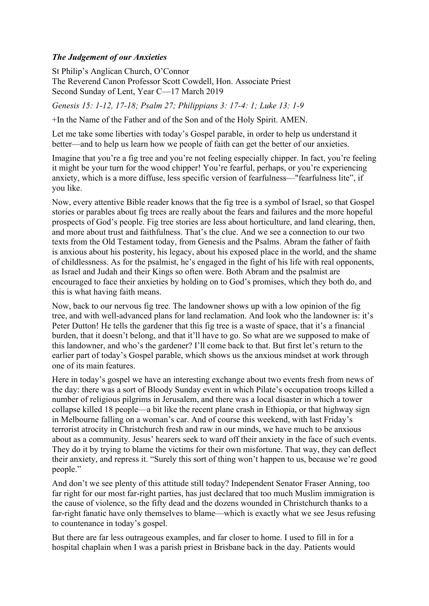## *The Judgement of our Anxieties*

St Philip's Anglican Church, O'Connor The Reverend Canon Professor Scott Cowdell, Hon. Associate Priest Second Sunday of Lent, Year C—17 March 2019

*Genesis 15: 1-12, 17-18; Psalm 27; Philippians 3: 17-4: 1; Luke 13: 1-9*

+In the Name of the Father and of the Son and of the Holy Spirit. AMEN.

Let me take some liberties with today's Gospel parable, in order to help us understand it better—and to help us learn how we people of faith can get the better of our anxieties.

Imagine that you're a fig tree and you're not feeling especially chipper. In fact, you're feeling it might be your turn for the wood chipper! You're fearful, perhaps, or you're experiencing anxiety, which is a more diffuse, less specific version of fearfulness—"fearfulness lite", if you like.

Now, every attentive Bible reader knows that the fig tree is a symbol of Israel, so that Gospel stories or parables about fig trees are really about the fears and failures and the more hopeful prospects of God's people. Fig tree stories are less about horticulture, and land clearing, then, and more about trust and faithfulness. That's the clue. And we see a connection to our two texts from the Old Testament today, from Genesis and the Psalms. Abram the father of faith is anxious about his posterity, his legacy, about his exposed place in the world, and the shame of childlessness. As for the psalmist, he's engaged in the fight of his life with real opponents, as Israel and Judah and their Kings so often were. Both Abram and the psalmist are encouraged to face their anxieties by holding on to God's promises, which they both do, and this is what having faith means.

Now, back to our nervous fig tree. The landowner shows up with a low opinion of the fig tree, and with well-advanced plans for land reclamation. And look who the landowner is: it's Peter Dutton! He tells the gardener that this fig tree is a waste of space, that it's a financial burden, that it doesn't belong, and that it'll have to go. So what are we supposed to make of this landowner, and who's the gardener? I'll come back to that. But first let's return to the earlier part of today's Gospel parable, which shows us the anxious mindset at work through one of its main features.

Here in today's gospel we have an interesting exchange about two events fresh from news of the day: there was a sort of Bloody Sunday event in which Pilate's occupation troops killed a number of religious pilgrims in Jerusalem, and there was a local disaster in which a tower collapse killed 18 people—a bit like the recent plane crash in Ethiopia, or that highway sign in Melbourne falling on a woman's car. And of course this weekend, with last Friday's terrorist atrocity in Christchurch fresh and raw in our minds, we have much to be anxious about as a community. Jesus' hearers seek to ward off their anxiety in the face of such events. They do it by trying to blame the victims for their own misfortune. That way, they can deflect their anxiety, and repress it. "Surely this sort of thing won't happen to us, because we're good people."

And don't we see plenty of this attitude still today? Independent Senator Fraser Anning, too far right for our most far-right parties, has just declared that too much Muslim immigration is the cause of violence, so the fifty dead and the dozens wounded in Christchurch thanks to a far-right fanatic have only themselves to blame—which is exactly what we see Jesus refusing to countenance in today's gospel.

But there are far less outrageous examples, and far closer to home. I used to fill in for a hospital chaplain when I was a parish priest in Brisbane back in the day. Patients would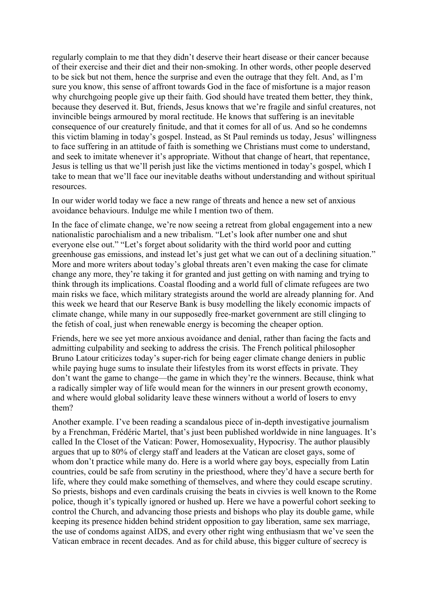regularly complain to me that they didn't deserve their heart disease or their cancer because of their exercise and their diet and their non-smoking. In other words, other people deserved to be sick but not them, hence the surprise and even the outrage that they felt. And, as I'm sure you know, this sense of affront towards God in the face of misfortune is a major reason why churchgoing people give up their faith. God should have treated them better, they think, because they deserved it. But, friends, Jesus knows that we're fragile and sinful creatures, not invincible beings armoured by moral rectitude. He knows that suffering is an inevitable consequence of our creaturely finitude, and that it comes for all of us. And so he condemns this victim blaming in today's gospel. Instead, as St Paul reminds us today, Jesus' willingness to face suffering in an attitude of faith is something we Christians must come to understand, and seek to imitate whenever it's appropriate. Without that change of heart, that repentance, Jesus is telling us that we'll perish just like the victims mentioned in today's gospel, which I take to mean that we'll face our inevitable deaths without understanding and without spiritual resources.

In our wider world today we face a new range of threats and hence a new set of anxious avoidance behaviours. Indulge me while I mention two of them.

In the face of climate change, we're now seeing a retreat from global engagement into a new nationalistic parochialism and a new tribalism. "Let's look after number one and shut everyone else out." "Let's forget about solidarity with the third world poor and cutting greenhouse gas emissions, and instead let's just get what we can out of a declining situation." More and more writers about today's global threats aren't even making the case for climate change any more, they're taking it for granted and just getting on with naming and trying to think through its implications. Coastal flooding and a world full of climate refugees are two main risks we face, which military strategists around the world are already planning for. And this week we heard that our Reserve Bank is busy modelling the likely economic impacts of climate change, while many in our supposedly free-market government are still clinging to the fetish of coal, just when renewable energy is becoming the cheaper option.

Friends, here we see yet more anxious avoidance and denial, rather than facing the facts and admitting culpability and seeking to address the crisis. The French political philosopher Bruno Latour criticizes today's super-rich for being eager climate change deniers in public while paying huge sums to insulate their lifestyles from its worst effects in private. They don't want the game to change—the game in which they're the winners. Because, think what a radically simpler way of life would mean for the winners in our present growth economy, and where would global solidarity leave these winners without a world of losers to envy them?

Another example. I've been reading a scandalous piece of in-depth investigative journalism by a Frenchman, Frédéric Martel, that's just been published worldwide in nine languages. It's called In the Closet of the Vatican: Power, Homosexuality, Hypocrisy. The author plausibly argues that up to 80% of clergy staff and leaders at the Vatican are closet gays, some of whom don't practice while many do. Here is a world where gay boys, especially from Latin countries, could be safe from scrutiny in the priesthood, where they'd have a secure berth for life, where they could make something of themselves, and where they could escape scrutiny. So priests, bishops and even cardinals cruising the beats in civvies is well known to the Rome police, though it's typically ignored or hushed up. Here we have a powerful cohort seeking to control the Church, and advancing those priests and bishops who play its double game, while keeping its presence hidden behind strident opposition to gay liberation, same sex marriage, the use of condoms against AIDS, and every other right wing enthusiasm that we've seen the Vatican embrace in recent decades. And as for child abuse, this bigger culture of secrecy is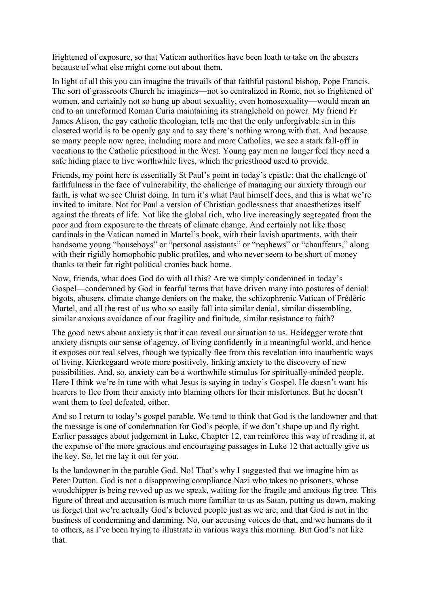frightened of exposure, so that Vatican authorities have been loath to take on the abusers because of what else might come out about them.

In light of all this you can imagine the travails of that faithful pastoral bishop, Pope Francis. The sort of grassroots Church he imagines—not so centralized in Rome, not so frightened of women, and certainly not so hung up about sexuality, even homosexuality—would mean an end to an unreformed Roman Curia maintaining its stranglehold on power. My friend Fr James Alison, the gay catholic theologian, tells me that the only unforgivable sin in this closeted world is to be openly gay and to say there's nothing wrong with that. And because so many people now agree, including more and more Catholics, we see a stark fall-off in vocations to the Catholic priesthood in the West. Young gay men no longer feel they need a safe hiding place to live worthwhile lives, which the priesthood used to provide.

Friends, my point here is essentially St Paul's point in today's epistle: that the challenge of faithfulness in the face of vulnerability, the challenge of managing our anxiety through our faith, is what we see Christ doing. In turn it's what Paul himself does, and this is what we're invited to imitate. Not for Paul a version of Christian godlessness that anaesthetizes itself against the threats of life. Not like the global rich, who live increasingly segregated from the poor and from exposure to the threats of climate change. And certainly not like those cardinals in the Vatican named in Martel's book, with their lavish apartments, with their handsome young "houseboys" or "personal assistants" or "nephews" or "chauffeurs," along with their rigidly homophobic public profiles, and who never seem to be short of money thanks to their far right political cronies back home.

Now, friends, what does God do with all this? Are we simply condemned in today's Gospel—condemned by God in fearful terms that have driven many into postures of denial: bigots, abusers, climate change deniers on the make, the schizophrenic Vatican of Frédéric Martel, and all the rest of us who so easily fall into similar denial, similar dissembling, similar anxious avoidance of our fragility and finitude, similar resistance to faith?

The good news about anxiety is that it can reveal our situation to us. Heidegger wrote that anxiety disrupts our sense of agency, of living confidently in a meaningful world, and hence it exposes our real selves, though we typically flee from this revelation into inauthentic ways of living. Kierkegaard wrote more positively, linking anxiety to the discovery of new possibilities. And, so, anxiety can be a worthwhile stimulus for spiritually-minded people. Here I think we're in tune with what Jesus is saying in today's Gospel. He doesn't want his hearers to flee from their anxiety into blaming others for their misfortunes. But he doesn't want them to feel defeated, either.

And so I return to today's gospel parable. We tend to think that God is the landowner and that the message is one of condemnation for God's people, if we don't shape up and fly right. Earlier passages about judgement in Luke, Chapter 12, can reinforce this way of reading it, at the expense of the more gracious and encouraging passages in Luke 12 that actually give us the key. So, let me lay it out for you.

Is the landowner in the parable God. No! That's why I suggested that we imagine him as Peter Dutton. God is not a disapproving compliance Nazi who takes no prisoners, whose woodchipper is being revved up as we speak, waiting for the fragile and anxious fig tree. This figure of threat and accusation is much more familiar to us as Satan, putting us down, making us forget that we're actually God's beloved people just as we are, and that God is not in the business of condemning and damning. No, our accusing voices do that, and we humans do it to others, as I've been trying to illustrate in various ways this morning. But God's not like that.